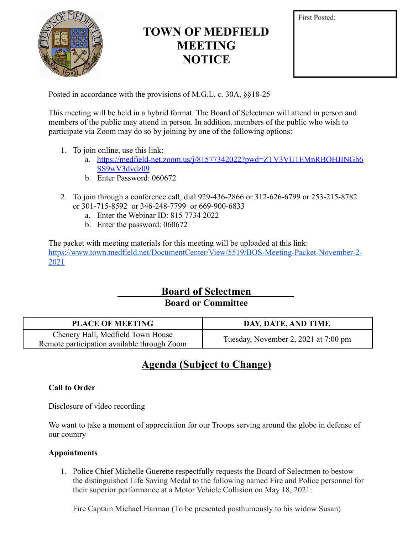

# **TOWN OF MEDFIELD MEETING NOTICE**

Posted in accordance with the provisions of M.G.L. c. 30A, §§18-25

This meeting will be held in a hybrid format. The Board of Selectmen will attend in person and members of the public may attend in person. In addition, members of the public who wish to participate via Zoom may do so by joining by one of the following options:

- 1. To join online, use this link:
	- a. [https://medfield-net.zoom.us/j/81577342022?pwd=ZTV3VU1EMnRBOHJINGh6](https://medfield-net.zoom.us/j/81577342022?pwd=ZTV3VU1EMnRBOHJINGh6SS9wV3dvdz09) [SS9wV3dvdz09](https://medfield-net.zoom.us/j/81577342022?pwd=ZTV3VU1EMnRBOHJINGh6SS9wV3dvdz09)
	- b. Enter Password: 060672
- 2. To join through a conference call, dial 929-436-2866 or 312-626-6799 or 253-215-8782 or 301-715-8592 or 346-248-7799 or 669-900-6833
	- a. Enter the Webinar ID: 815 7734 2022
	- b. Enter the password: 060672

The packet with meeting materials for this meeting will be uploaded at this link: [https://www.town.medfield.net/DocumentCenter/View/5519/BOS-Meeting-Packet-November-2-](https://www.town.medfield.net/DocumentCenter/View/5519/BOS-Meeting-Packet-November-2-2021) [2021](https://www.town.medfield.net/DocumentCenter/View/5519/BOS-Meeting-Packet-November-2-2021)

> **Board of Selectmen Board or Committee**

| <b>PLACE OF MEETING</b>                                                          | DAY, DATE, AND TIME                  |
|----------------------------------------------------------------------------------|--------------------------------------|
| Chenery Hall, Medfield Town House<br>Remote participation available through Zoom | Tuesday, November 2, 2021 at 7:00 pm |

## **Agenda (Subject to Change)**

## **Call to Order**

Disclosure of video recording

We want to take a moment of appreciation for our Troops serving around the globe in defense of our country

## **Appointments**

1. Police Chief Michelle Guerette respectfully requests the Board of Selectmen to bestow the distinguished Life Saving Medal to the following named Fire and Police personnel for their superior performance at a Motor Vehicle Collision on May 18, 2021:

Fire Captain Michael Harman (To be presented posthumously to his widow Susan)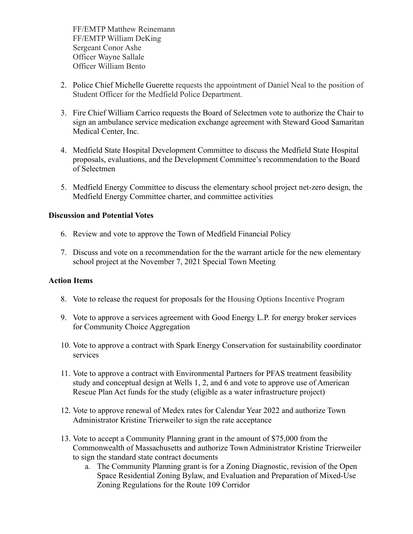FF/EMTP Matthew Reinemann FF/EMTP William DeKing Sergeant Conor Ashe Officer Wayne Sallale Officer William Bento

- 2. Police Chief Michelle Guerette requests the appointment of Daniel Neal to the position of Student Officer for the Medfield Police Department.
- 3. Fire Chief William Carrico requests the Board of Selectmen vote to authorize the Chair to sign an ambulance service medication exchange agreement with Steward Good Samaritan Medical Center, Inc.
- 4. Medfield State Hospital Development Committee to discuss the Medfield State Hospital proposals, evaluations, and the Development Committee's recommendation to the Board of Selectmen
- 5. Medfield Energy Committee to discuss the elementary school project net-zero design, the Medfield Energy Committee charter, and committee activities

#### **Discussion and Potential Votes**

- 6. Review and vote to approve the Town of Medfield Financial Policy
- 7. Discuss and vote on a recommendation for the the warrant article for the new elementary school project at the November 7, 2021 Special Town Meeting

#### **Action Items**

- 8. Vote to release the request for proposals for the Housing Options Incentive Program
- 9. Vote to approve a services agreement with Good Energy L.P. for energy broker services for Community Choice Aggregation
- 10. Vote to approve a contract with Spark Energy Conservation for sustainability coordinator services
- 11. Vote to approve a contract with Environmental Partners for PFAS treatment feasibility study and conceptual design at Wells 1, 2, and 6 and vote to approve use of American Rescue Plan Act funds for the study (eligible as a water infrastructure project)
- 12. Vote to approve renewal of Medex rates for Calendar Year 2022 and authorize Town Administrator Kristine Trierweiler to sign the rate acceptance
- 13. Vote to accept a Community Planning grant in the amount of \$75,000 from the Commonwealth of Massachusetts and authorize Town Administrator Kristine Trierweiler to sign the standard state contract documents
	- a. The Community Planning grant is for a Zoning Diagnostic, revision of the Open Space Residential Zoning Bylaw, and Evaluation and Preparation of Mixed-Use Zoning Regulations for the Route 109 Corridor